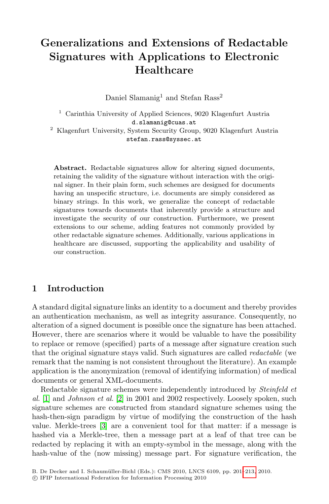# **Generalizations and Extensions of Redactable Signatures with Applications to Electronic Healthcare**

Daniel Slamanig<sup>1</sup> and Stefan Rass<sup>2</sup>

 $^{\rm 1}$  Carinthia University of Applied Sciences, 9020 Klagenfurt Austria d.slamanig@cuas.at  $^{\rm 2}$  Klagenfurt University, System Security Group, 9020 Klagenfurt Austria stefan.rass@syssec.at

**Abstract.** Redactable signatures allow for altering signed documents, retaining the validity of the signature without interaction with the original signer. In their plain form, such schemes are designed for documents having an unspecific structure, i.e. documents are simply considered as binary strings. In this work, we generalize the concept of redactable signatures towards documents that inherently provide a structure and investigate the security of our construction. Furthermore, we present extensions to our scheme, adding features not commonly provided by other redactable signature schemes. Additionally, various applications in healthcare are discussed, supporting the applicability and usability of our construction.

# **1 Introduction**

A standard digital signature links an identity to a document and thereby provides an authentication mechanism, as well as integrity assurance. Consequently, no alterat[ion](#page-9-0) of a signed document is possible once the signature has been attached. However, there are scenarios where it would be valuable to have the possibility to replace or remove (specified) parts of a message after signature creation such t[hat](#page-9-1) the original signature stays valid. Such signatures are called *redactable* (we remark that the naming is not consistent throughout the literature). An example application is the anonymization (removal of identifying information) of medical documents or general XML-documents.

Redactable signature schemes were independently introduced by *Steinfeld et al.* [1] and *Johnson et al.* [2] in 2001 and 200[2 res](#page-12-0)pectively. Loosely spoken, such signature schemes are constructed from standard signature schemes using the hash-then-sign paradigm by virtue of modifying the construction of the hash value. Merkle-trees [3] are a convenient tool for that matter: if a message is hashed via a Merkle-tree, then a message part at a leaf of that tree can be redacted by replacing it with an empty-symbol in the message, along with the hash-value of the (now missing) message part. For signature verification, the

B. De Decker and I. Schaumüller-Bichl (Eds.): CMS 2010, LNCS 6109, pp. 201-213, 2010.

<sup>-</sup>c IFIP International Federation for Information Processing 2010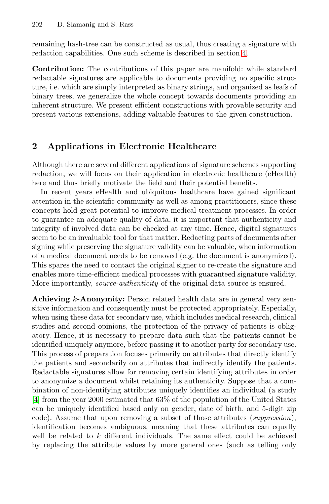remaining hash-tree can be constructed as usual, thus creating a signature with redaction capabilities. One such scheme is described in section 4.

**Contribution:** The contributions of this paper are manifold: while standard redactable signatures are applicable to documents providing no specific structure, i.e. which are simply interpreted as binary strings, and organized as leafs of binary trees, we generalize the whole concept towards documents providing an inherent structure. We present efficient constructions with provable security and present various extensions, adding valuable features to the given construction.

# **2 Applications in Electronic Healthcare**

Although there are several different applications of signature schemes supporting redaction, we will focus on their application in electronic healthcare (eHealth) here and thus briefly motivate the field and their potential benefits.

In recent years eHealth and ubiquitous healthcare have gained significant attention in the scientific community as well as among practitioners, since these concepts hold great potential to improve medical treatment processes. In order to guarantee an adequate quality of data, it is important that authenticity and integrity of involved data can be checked at any time. Hence, digital signatures seem to be an invaluable tool for that matter. Redacting parts of documents after signing while preserving the signature validity can be valuable, when information of a medical document needs to be removed (e.g. the document is anonymized). This spares the need to contact the original signer to re-create the signature and enables more time-efficient medical processes with guaranteed signature validity. More importantly, *source-authenticity* of the original data source is ensured.

**Achieving** k**-Anonymity:** Person related health data are in general very sensitive information and consequently must be protected appropriately. Especially, when using these data for secondary use, which includes medical research, clinical studies and second opinions, the protection of the privacy of patients is obligatory. Hence, it is necessary to prepare data such that the patients cannot be identified uniquely anymore, before passing it to another party for secondary use. This process of preparation focuses primarily on attributes that directly identify the patients and secondarily on attributes that indirectly identify the patients. Redactable signatures allow for removing certain identifying attributes in order to anonymize a document whilst retaining its authenticity. Suppose that a combination of non-identifying attributes uniquely identifies an individual (a study [4] from the year 2000 estimated that 63% of the population of the United States can be uniquely identified based only on gender, date of birth, and 5-digit zip code). Assume that upon removing a subset of those attributes (*suppression*), identification becomes ambiguous, meaning that these attributes can equally well be related to  $k$  different individuals. The same effect could be achieved by replacing the attribute values by more general ones (such as telling only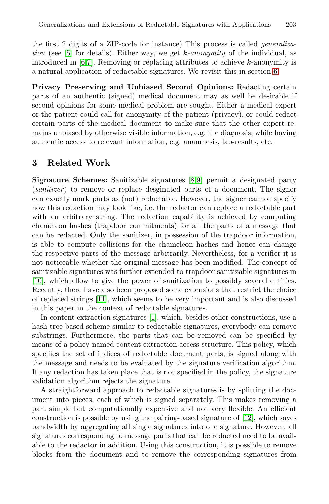the first 2 digits of a ZIP-code for instance) This process is called *generalization* (see [5] for details). Either way, we get k*-anonymity* of the individual, as introduced in [6,7]. Removing or replacing attributes to achieve k-anonymity is a natural application of redactable signatures. We revisit this in section 6.

**Privacy Preserving and Unbiased Second Opinions:** Redacting certain parts of an authentic (signed) medical document may as well be desirable if second opinions for some m[ed](#page-9-2)[ic](#page-9-3)al problem are sought. Either a medical expert or the patient could call for anonymity of the patient (privacy), or could redact certain parts of the medical document to make sure that the other expert remains unbiased by otherwise visible information, e.g. the diagnosis, while having authentic access to relevant information, e.g. anamnesis, lab-results, etc.

## **3 Related Work**

**Signature Schemes:** Sanitizable signatures [8,9] permit a designated party (*sanitizer*) to remove or replace desginated parts of a document. The signer can exactly mark parts as (not) redactable. However, the signer cannot specify how this redaction may look like, i.e. the redactor can replace a redactable part with an arbitrary string. The redaction capability is achieved by computing [cha](#page-9-4)meleon hashes (trapdoor commitments) for all the parts of a message that can be redacted. Only the sanitizer, in possession of the trapdoor information, is able to comp[ut](#page-9-5)e collisions for the chameleon hashes and hence can change the respective parts of the message arbitrarily. Nevertheless, for a verifier it is not noticeable whether the original message has been modified. The concept of sanitizable signatures was further extended to trapdoor sanitizable signatures in [10], which allow to give the power of sanitization to possibly several entities. Recently, there have also been proposed some extensions that restrict the choice of replaced strings [11], which seems to be very important and is also discussed in this paper in the context of redactable signatures.

In content extraction signatures [1], which, besides other constructions, use a hash-tree based scheme similar to redactable signatures, everybody can remove substrings. Furthermore, the parts that can be removed can be specified by means of a policy named content extraction [acc](#page-10-0)ess structure. This policy, which specifies the set of indices of redactable document parts, is signed along with the message and needs to be evaluated by the signature verification algorithm. If any redaction has taken place that is not specified in the policy, the signature validation algorithm rejects the signature.

A straightforward approach to redactable signatures is by splitting the document into pieces, each of which is signed separately. This makes removing a part simple but computationally expensive and not very flexible. An efficient construction is possible by using the pairing-based signature of [12], which saves bandwidth by aggregating all single signatures into one signature. However, all signatures corresponding to message parts that can be redacted need to be available to the redactor in addition. Using this construction, it is possible to remove blocks from the document and to remove the corresponding signatures from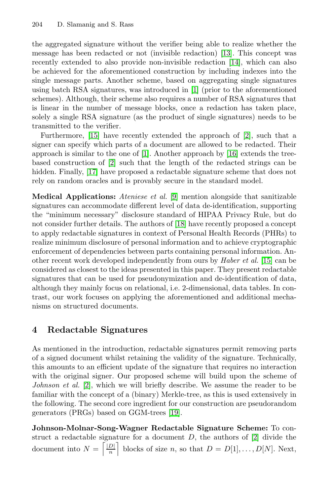the aggregated signature without the verifier being able to realize whether the message has been redacted or not (invisible redaction) [13]. This concept was [re](#page-10-1)cently extended to also provide non-invisi[bl](#page-9-0)e redaction [14], which can also be achieved for the aforementioned construction by including indexes into the single messag[e p](#page-9-5)arts. Another scheme, [bas](#page-10-2)ed on aggregating single signatures usin[g](#page-9-0) batch RSA signatures, was introduced in [1] (prior to the aforementioned [s](#page-10-3)chemes). Although, their scheme also requires a number of RSA signatures that is linear in the number of message blocks, once a redaction has taken place, solely a single RSA signature (as the product of single signatures) needs to be transmitted to the ver[ifie](#page-9-3)r.

Furthermore, [15] have recently extended the approach of [2], such that a signer can specify which parts of a document are allowed to be redacted. Their approach is similar to t[he o](#page-10-4)ne of [1]. Another approach by [16] extends the treebased construction of [2] such that the length of the redacted strings can be hidden. Finally, [17] have proposed a redactable signature scheme that does not rely on random oracles and is provably secure in the standard model.

<span id="page-3-0"></span>**Medical Applications:** *Ateniese et al.* [9] ment[ion](#page-10-1) alongside that sanitizable signatures can accommodate different level of data de-identification, supporting the "minimum necessary" disclosure standard of HIPAA Privacy Rule, but do not consider further details. The authors of [18] have recently proposed a concept to apply redactable signatures in context of Personal Health Records (PHRs) to realize minimum disclosure of personal information and to achieve cryptographic enforcement of dependencies between parts containing personal information. Another recent work developed independently from ours by *Haber et al.* [15] can be considered as closest to the ideas presented in this paper. They present redactable signatures that can be used for pseudonymization and de-identification of data, although they mainly focus on relational, i.e. 2-dimensional, data tables. In contrast, our work focuses on applying the aforementioned and additional mechanisms on structured documents.

### **4 Redactable Signatures**

As mentioned in the i[ntro](#page-10-5)duction, redactable signatures permit removing parts of a signed document whilst retaining the validity of the signature. Technically, this amounts to an efficient update of the signa[tu](#page-9-0)re that requires no interaction with the original signer. Our proposed scheme will build upon the scheme of *Johnson et al.* [2], which we will briefly describe. We assume the reader to be familiar with the concept of a (binary) Merkle-tree, as this is used extensively in the following. The second core ingredient for our construction are pseudorandom generators (PRGs) based on GGM-trees [19].

**Johnson-Molnar-Song-Wagner Redactable Signature Scheme:** To construct a redactable signature for a document  $D$ , the authors of  $[2]$  divide the document into  $N = \left\lceil \frac{|D|}{n} \right\rceil$  blocks of size n, so that  $D = D[1], \ldots, D[N]$ . Next,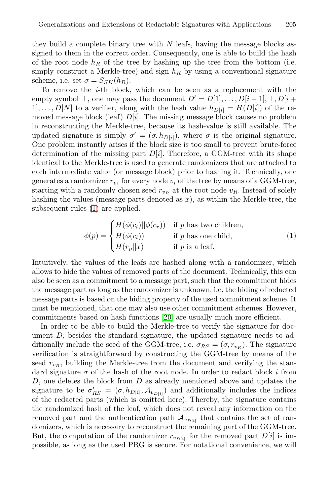they build a complete binary tree with  $N$  leafs, having the message blocks assigned to them in the correct order. Consequently, one is able to build the hash of the root node  $h_R$  of the tree by hashing up the tree from the bottom (i.e. simply construct a Merkle-tree) and sign  $h_R$  by using a conventional signature scheme, i.e. set  $\sigma = S_{SK}(h_R)$ .

<span id="page-4-0"></span>To remove the  $i$ -th block, which can be seen as a replacement with the empty symbol  $\bot$ , one may pass the document  $D' = D[1], \ldots, D[i-1], \bot, D[i+$  $1, \ldots, D[N]$  to a verifier, along with the hash value  $h_{D[i]} = H(D[i])$  of the removed message block (leaf)  $D[i]$ . The missing message block causes no problem in reconstructing the Merkle-tree, because its hash-value is still available. The [u](#page-4-0)pdated signature is simply  $\sigma' = (\sigma, h_{D[i]})$ , where  $\sigma$  is the original signature. One problem instantly arises if the block size is too small to prevent brute-force determination of the missing part  $D[i]$ . Therefore, a GGM-tree with its shape identical to the Merkle-tree is used to generate randomizers that are attached to each intermediate value (or message block) prior to hashing it. Technically, one generates a randomizer  $r_{v_i}$  for every node  $v_i$  of the tree by means of a GGM-tree, starting with a randomly chosen seed  $r_{vR}$  at the root node  $v_R$ . Instead of solely hashing the values (message parts denoted as  $x$ ), as within the Merkle-tree, the subsequent rules (1) are applied.

$$
\phi(p) = \begin{cases} H(\phi(c_l) || \phi(c_r)) & \text{if } p \text{ has two children,} \\ H(\phi(c_l)) & \text{if } p \text{ has one child,} \\ H(r_p || x) & \text{if } p \text{ is a leaf.} \end{cases}
$$
(1)

Intuitively, the values of the leafs are hashed along with a randomizer, which allows to hide the values of removed parts of the document. Technically, this can also be seen as a commitment to a message part, such that the commitment hides the message part as long as the randomizer is unknown, i.e. the hiding of redacted message parts is based on the hiding property of the used commitment scheme. It must be mentioned, that one may also use other commitment schemes. However, commitments based on hash functions [20] are usually much more efficient.

In order to be able to build the Merkle-tree to verify the signature for document D, besides the standard signature, the updated signature needs to additionally include the seed of the GGM-tree, i.e.  $\sigma_{RS} = (\sigma, r_{v_R})$ . The signature verification is straightforward by constructing the GGM-tree by means of the seed  $r_{v_R}$ , building the Merkle-tree from the document and verifying the standard signature  $\sigma$  of the hash of the root node. In order to redact block i from  $D$ , one deletes the block from  $D$  as already mentioned above and updates the signature to be  $\sigma'_{RS} = (\sigma, h_{D[i]}, \mathcal{A}_{v_{D[i]}})$  and additionally includes the indices of the redacted parts (which is omitted here). Thereby, the signature contains the randomized hash of the leaf, which does not reveal any information on the removed part and the authentication path  $\mathcal{A}_{v_{D[i]}}$  that contains the set of randomizers, which is necessary to reconstruct the remaining part of the GGM-tree. But, the computation of the randomizer  $r_{v_{D[i]}}$  for the removed part  $D[i]$  is impossible, as long as the used PRG is secure. For notational convenience, we will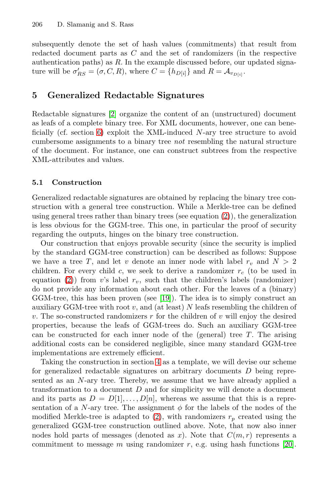subs[eq](#page-9-0)uently denote the set of hash values (commitments) that result from redacted document parts as C and the set of randomizers (in the respective [au](#page-8-0)thentication paths) as  $R$ . In the example discussed before, our updated signature will be  $\sigma'_{RS} = (\sigma, C, R)$ , where  $C = \{h_{D[i]}\}\$  and  $R = \mathcal{A}_{v_{D[i]}}$ .

### **5 Generalized Redactable Signatures**

Redactable signatures [2] organize the content of an (unstructured) document as leafs of a complete binary tree. For XML documents, however, one can beneficially (cf. section 6) exploit the XML-induced N-ary tree structure to avoid cumbersome assignments to a binary [tre](#page-6-0)e *not* resembling the natural structure of the document. For instance, one can construct subtrees from the respective XML-attributes and values.

#### **5.1 Construction**

Generalized redactable signatures are obtained by replacing the binary tree construction with a general tree construction. While a Merkle-tree can be defined using general trees rather than binary trees (see equation  $(2)$ ), the generalization is less obvious for t[he](#page-10-5) GGM-tree. This one, in particular the proof of security regarding the outputs, hinges on the binary tree construction.

Our construction that enjoys provable security (since the security is implied by the standard GGM-tree construction) can be described as follows: Suppose we have a tree T, and let v denote an inner node with label  $r_v$  and  $N > 2$ children. For every child c, we seek to derive a randomizer r*<sup>c</sup>* (to be used in equation (2)) from v's label  $r_v$ , such that the children's labels (randomizer) do not provide a[ny](#page-3-0) information about each other. For the leaves of a (binary) GGM-tree, this has been proven (see [19]). The idea is to simply construct an auxiliary GGM-tree with root  $v$ , and (at least)  $N$  leafs resembling the children of  $v$ . The so-constructed randomizers  $r$  for the children of  $v$  will enjoy the desired properties, because the leafs of GGM-trees do. Such an auxiliary GGM-tree can be constructed for each inner node of the (general) tree  $T$ . The arising additional costs [can](#page-6-0) be considered negligible, since many standard GGM-tree implementations are extremely efficient.

Taking the construction in section 4 as a template, we will devise our scheme for generalized redactable signatures on arbitrary doc[ume](#page-10-6)nts D being represented as an N-ary tree. Thereby, we assume that we have already applied a transformation to a document  $D$  and for simplicity we will denote a document and its parts as  $D = D[1], \ldots, D[n]$ , whereas we assume that this is a representation of a N-ary tree. The assignment  $\phi$  for the labels of the nodes of the modified Merkle-tree is adapted to  $(2)$ , with randomizers  $r_p$  created using the generalized GGM-tree construction outlined above. Note, that now also inner nodes hold parts of messages (denoted as x). Note that  $C(m,r)$  represents a commitment to message m using randomizer r, e.g. using hash functions [20].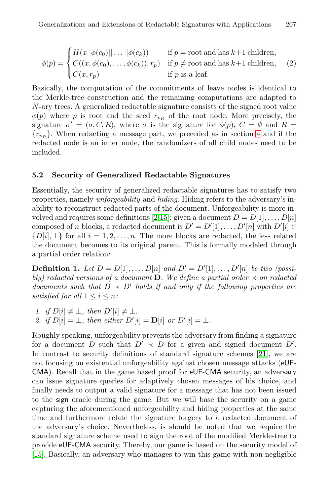<span id="page-6-0"></span>
$$
\phi(p) = \begin{cases} H(x||\phi(c_0)||\dots||\phi(c_k)) & \text{if } p = \text{root and has } k+1 \text{ children,} \\ C((x, \phi(c_0), \dots, \phi(c_k)), r_p) & \text{if } p \neq \text{root and has } k+1 \text{ children,} \\ C(x, r_p) & \text{if } p \text{ is a leaf.} \end{cases}
$$
(2)

<span id="page-6-1"></span>Basically, the computation of the commitments of leave nodes is identical to the Merkle-tree construction and the remaining computations are adapted to N-ary trees. A generalized redactable signature consists of the signed root value  $\phi(p)$  where p is root and the seed  $r_{vR}$  of the root node. More precisely, the signature  $\sigma' = (\sigma, C, R)$ , where  $\sigma$  is the signature for  $\phi(p)$ ,  $C = \emptyset$  and  $R =$  ${r_{v_R}}$ . When redacting a message part, we preceded as in section 4 and if the redacted node is [a](#page-9-0)[n in](#page-10-1)ner node, the randomizers of all child nodes need to be included.

#### **5.2 Security of Generalized Redactable Signatures**

Essentially, the security of generalized redactable signatures has to satisfy two properties, namely *unforgeability* and *hiding*. Hiding refers to the adversary's inability to reconstruct redacted parts of the document. Unforgeability is more involved and requires some definitions [2,15]: given a document  $D = D[1], \ldots, D[n]$ composed of n blocks, a redacted document is  $D' = D'[1], \ldots, D'[n]$  with  $D'[i] \in$  ${D[i], \perp}$  for all  $i = 1, 2, \ldots, n$ . The more blocks are redacted, the less related the document becomes to its original parent. This is formally modeled through a partial order relation:

**Definition 1.** Let  $D = D[1], \ldots, D[n]$  and  $D' = D'[1], \ldots, D'[n]$  be two (possi*bly)* redacted versions of a document **D**. We define a partial order  $\prec$  on redacted *documents such that*  $D \prec D'$  *holds [if](#page-10-7) and only if the following properties are satisfied for all*  $1 \leq i \leq n$ *:* 

*1.* if  $D[i] \neq \bot$ , then  $D'[i] \neq \bot$ . 2. if  $D[i] = \perp$ , then either  $D'[i] = D[i]$  or  $D'[i] = \perp$ .

Roughly speaking, unforgeability prevents the adversary from finding a signature for a document D such that  $D' \prec D$  for a given and signed document D'. In contrast to security definitions of standard signature schemes [21], we are not focusing on existential unforgeability against chosen message attacks (eUF-CMA). Recall that in the game based proof for eUF-CMA security, an adversary can issue signature queries for adaptively chosen messages of his choice, and finally needs to output a valid signature for a message that has not been issued to the sign oracle during the game. But we will base the security on a game capturing the aforementioned unforgeability and hiding properties at the same time and furthermore relate the signature forgery to a redacted document of the adversary's choice. Nevertheless, is should be noted that we require the standard signature scheme used to sign the root of the modified Merkle-tree to provide eUF-CMA security. Thereby, our game is based on the security model of [15]. Basically, an adversary who manages to win this game with non-negligible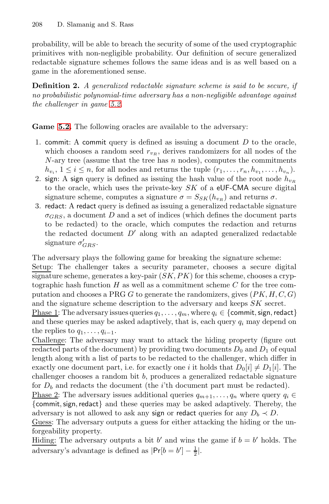<span id="page-7-0"></span>probability, will be able to breach the security of some of the used cryptographic primitives with non-negligible probability. Our definition of secure generalized redactable signature schemes follows the same ideas and is as well based on a game in the aforementioned sense.

**Definition 2.** *A generalized redactable signature scheme is said to be secure, if no probabilistic polynomial-time adversary has a non-negligible advantage against the challenger in game 5.2.*

**Game 5.2.** The following oracles are available to the adversary:

- 1. commit: A commit query is defined as issuing a document  $D$  to the oracle, which chooses a random seed  $r_{v_R}$ , derives randomizers for all nodes of the  $N$ -ary tree (assume that the tree has n nodes), computes the commitments  $h_{v_i}$ ,  $1 \leq i \leq n$ , for all nodes and returns the tuple  $(r_1,\ldots,r_n,h_{v_1},\ldots,h_{v_n})$ .
- 2. sign: A sign query is defined as issuing the hash value of the root node  $h_{vR}$ to the oracle, which uses the private-key  $SK$  of a eUF-CMA secure digital signature scheme, computes a signature  $\sigma = S_{SK}(h_{v_R})$  and returns  $\sigma$ .
- 3. redact: A redact query is defined as issuing a generalized redactable signature  $\sigma_{GRS}$ , a document D and a set of indices (which defines the document parts to be redacted) to the oracle, which computes the redaction and returns the redacted document  $D'$  along with an adapted generalized redactable signature  $\sigma'_{GRS}$ .

The adversary plays the following game for breaking the signature scheme:

Setup: The challenger takes a security parameter, chooses a secure digital signature scheme, generates a key-pair  $(SK, PK)$  for this scheme, chooses a cryptographic hash function  $H$  as well as a commitment scheme  $C$  for the tree computation and chooses a PRG G to generate the randomizers, gives  $(PK, H, C, G)$ and the signature scheme description to the adversary and keeps SK secret.

Phase 1: The adversary issues queries  $q_1, \ldots, q_m$ , where  $q_i \in \{\text{commit}, \text{sign}, \text{redact}\}\$ and these queries may be asked adaptively, that is, each query  $q_i$  may depend on the replies to  $q_1, \ldots, q_{i-1}$ .

Challenge: The adversary may want to attack the hiding property (figure out redacted parts of the document) by providing two documents  $D_0$  and  $D_1$  of equal length along with a list of parts to be redacted to the challenger, which differ in exactly one document part, i.e. for exactly one i it holds that  $D_0[i] \neq D_1[i]$ . The challenger chooses a random bit b, produces a generalized redactable signature for  $D<sub>b</sub>$  and redacts the document (the *i*'th document part must be redacted).

<u>Phase 2</u>: The adversary issues additional queries  $q_{m+1}, \ldots, q_n$  where query  $q_i \in$ {commit, sign, redact} and these queries may be asked adaptively. Thereby, the adversary is not allowed to ask any sign or redact queries for any  $D_b \prec D$ .

Guess: The adversary outputs a guess for either attacking the hiding or the unforgeability property.

Hiding: The adversary outputs a bit b' and wins the game if  $b = b'$  holds. The adversary's advantage is defined as  $|Pr[b = b'] - \frac{1}{2}|$ .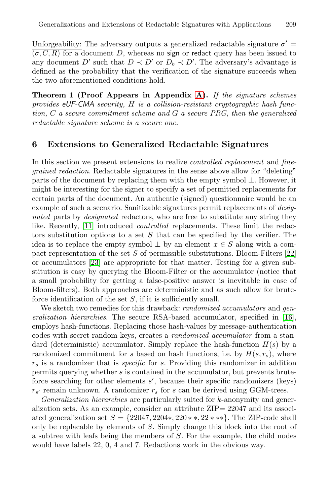<span id="page-8-1"></span><span id="page-8-0"></span>Unforgeability: The adversary outputs a generalized redactable signature  $\sigma'$  =  $(\sigma, C, R)$  for a document D, whereas no sign or redact query has been issued to any document  $D'$  such that  $D \prec D'$  or  $D_b \prec D'$ . The adversary's advantage is defined as the probability that the verification of the signature succeeds when the two aforementioned conditions hold.

**Theorem 1 (Proof Appears in Appendix A).** *If the signature schemes provides eUF-CMA security,* H *is a collision-resistant cryptographic hash function,* C *a secure commitment scheme and* G *a secure PRG, then the generalized redactable signature scheme is a secure one.*

### **6 Extensions to Generalized Redactable Signatures**

In this section we present extensions to realize *controlled replacement* and *finegrained redaction*. Redactable signatures in the sense above allow for "deleting" parts of the document by replacing them with the empty [sym](#page-10-9)bol ⊥. However, it [m](#page-10-10)ight be interesting for the signer to specify a set of permitted replacements for certain parts of the document. An authentic (signed) questionnaire would be an example of such a scenario. Sanitizable signatures permit replacements of *designated* parts by *designated* redactors, who are free to substitute any string they like. Recently, [11] introduced *controlled* replacements. These limit the redactors substitution options to a set  $S$  that can be specified by the verifier. The idea is to replace the empty symbol  $\perp$  by an element  $x \in S$  along with a compact representation of the set S of permissible substitutions. Bloom-Filters [22] or accumulators [23] are appropriate for that matter. Testing for a given substitution is easy by querying the Bloom-Filter or the accumulator (notice that a small probability for getting a false-positive answer is inevitable in case of Bloom-filters). Both approaches are deterministic and as such allow for bruteforce identification of the set  $S$ , if it is sufficiently small.

We sketch two remedies for this drawback: *randomized accumulators* and *generalization hierarchies*. The secure RSA-based accumulator, specified in [16], employs hash-functions. Replacing those hash-values by message-authentication codes with secret random keys, creates a *randomized accumulator* from a standard (deterministic) accumulator. Simply replace the hash-function  $H(s)$  by a randomized commitment for s based on hash functions, i.e. by  $H(s, r<sub>s</sub>)$ , where r*<sup>s</sup>* is a randomizer that is *specific* for s. Providing this randomizer in addition permits querying whether s is contained in the accumulator, but prevents bruteforce searching for other elements s', because their specific randomizers (keys)  $r_{s'}$  remain unknown. A randomizer  $r_s$  for s can be derived using GGM-trees.

*Generalization hierarchies* are particularly suited for k-anonymity and generalization sets. As an example, consider an attribute  $\text{ZIP}= 22047$  and its associated generalization set  $S = \{22047, 2204*, 220*, 22*, *\}$ . The ZIP-code shall only be replacable by elements of S. Simply change this block into the root of a subtree with leafs being the members of S. For the example, the child nodes would have labels 22, 0, 4 and 7. Redactions work in the obvious way.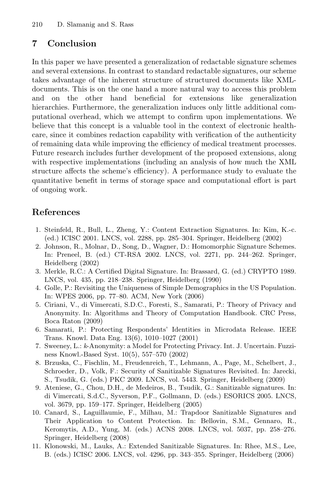# **7 Conclusion**

In this paper we have presented a generalization of redactable signature schemes and several extensions. In contrast to standard redactable signatures, our scheme takes advantage of the inherent structure of structured documents like XMLdocuments. This is on the one hand a more natural way to access this problem and on the other hand beneficial for extensions like generalization hierarchies. Furthermore, the generalization induces only little additional computational overhead, which we attempt to confirm upon implementations. We believe that this concept is a valuable tool in the context of electronic healthcare, since it combines redaction capability with verification of the authenticity of remaining data while improving the efficiency of medical treatment processes. Future research includes further development of the proposed extensions, along with respective implementations (including an analysis of how much the XML structure affects the scheme's efficiency). A performance study to evaluate the quantitative benefit in terms of storage space and computational effort is part of ongoing work.

# **References**

- <span id="page-9-5"></span>1. Steinfeld, R., Bull, L., Zheng, Y.: Content Extraction Signatures. In: Kim, K.-c. (ed.) ICISC 2001. LNCS, vol. 2288, pp. 285–304. Springer, Heidelberg (2002)
- <span id="page-9-0"></span>2. Johnson, R., Molnar, D., Song, D., Wagner, D.: Homomorphic Signature Schemes. In: Preneel, B. (ed.) CT-RSA 2002. LNCS, vol. 2271, pp. 244–262. Springer, Heidelberg (2002)
- <span id="page-9-1"></span>3. Merkle, R.C.: A Certified Digital Signature. In: Brassard, G. (ed.) CRYPTO 1989. LNCS, vol. 435, pp. 218–238. Springer, Heidelberg (1990)
- 4. Golle, P.: Revisiting the Uniqueness of Simple Demographics in the US Population. In: WPES 2006, pp. 77–80. ACM, New York (2006)
- 5. Ciriani, V., di Vimercati, S.D.C., Foresti, S., Samarati, P.: Theory of Privacy and Anonymity. In: Algorithms and Theory of Computation Handbook. CRC Press, Boca Raton (2009)
- 6. Samarati, P.: Protecting Respondents' Identities in Microdata Release. IEEE Trans. Knowl. Data Eng. 13(6), 1010–1027 (2001)
- 7. Sweeney, L.: *k*-Anonymity: a Model for Protecting Privacy. Int. J. Uncertain. Fuzziness Knowl.-Based Syst. 10(5), 557–570 (2002)
- <span id="page-9-2"></span>8. Brzuska, C., Fischlin, M., Freudenreich, T., Lehmann, A., Page, M., Schelbert, J., Schroeder, D., Volk, F.: Security of Sanitizable Signatures Revisited. In: Jarecki, S., Tsudik, G. (eds.) PKC 2009. LNCS, vol. 5443. Springer, Heidelberg (2009)
- <span id="page-9-3"></span>9. Ateniese, G., Chou, D.H., de Medeiros, B., Tsudik, G.: Sanitizable signatures. In: di Vimercati, S.d.C., Syverson, P.F., Gollmann, D. (eds.) ESORICS 2005. LNCS, vol. 3679, pp. 159–177. Springer, Heidelberg (2005)
- 10. Canard, S., Laguillaumie, F., Milhau, M.: Trapdoor Sanitizable Signatures and Their Application to Content Protection. In: Bellovin, S.M., Gennaro, R., Keromytis, A.D., Yung, M. (eds.) ACNS 2008. LNCS, vol. 5037, pp. 258–276. Springer, Heidelberg (2008)
- <span id="page-9-4"></span>11. Klonowski, M., Lauks, A.: Extended Sanitizable Signatures. In: Rhee, M.S., Lee, B. (eds.) ICISC 2006. LNCS, vol. 4296, pp. 343–355. Springer, Heidelberg (2006)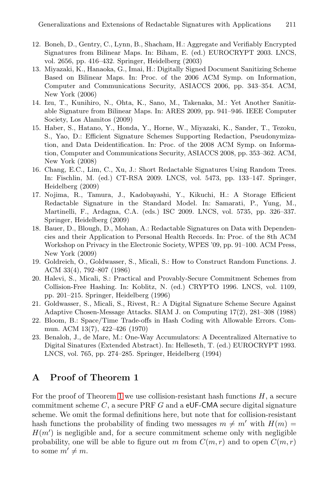- <span id="page-10-1"></span><span id="page-10-0"></span>12. Boneh, D., Gentry, C., Lynn, B., Shacham, H.: Aggregate and Verifiably Encrypted Signatures from Bilinear Maps. In: Biham, E. (ed.) EUROCRYPT 2003. LNCS, vol. 2656, pp. 416–432. Springer, Heidelberg (2003)
- 13. Miyazaki, K., Hanaoka, G., Imai, H.: Digitally Signed Document Sanitizing Scheme Based on Bilinear Maps. In: Proc. of the 2006 ACM Symp. on Information, Computer and Communications Security, ASIACCS 2006, pp. 343–354. ACM, New York (2006)
- <span id="page-10-2"></span>14. Izu, T., Kunihiro, N., Ohta, K., Sano, M., Takenaka, M.: Yet Another Sanitizable Signature from Bilinear Maps. In: ARES 2009, pp. 941–946. IEEE Computer Society, Los Alamitos (2009)
- <span id="page-10-3"></span>15. Haber, S., Hatano, Y., Honda, Y., Horne, W., Miyazaki, K., Sander, T., Tezoku, S., Yao, D.: Efficient Signature Schemes Supporting Redaction, Pseudonymization, and Data Deidentification. In: Proc. of the 2008 ACM Symp. on Information, Computer and Communications Security, ASIACCS 2008, pp. 353–362. ACM, New York (2008)
- <span id="page-10-4"></span>16. Chang, E.C., Lim, C., Xu, J.: Short Redactable Signatures Using Random Trees. In: Fischlin, M. (ed.) CT-RSA 2009. LNCS, vol. 5473, pp. 133–147. Springer, Heidelberg (2009)
- <span id="page-10-6"></span><span id="page-10-5"></span>17. Nojima, R., Tamura, J., Kadobayashi, Y., Kikuchi, H.: A Storage Efficient Redactable Signature in the Standard Model. In: Samarati, P., Yung, M., Martinelli, F., Ardagna, C.A. (eds.) ISC 2009. LNCS, vol. 5735, pp. 326–337. Springer, Heidelberg (2009)
- <span id="page-10-9"></span><span id="page-10-7"></span>18. Bauer, D., Blough, D., Mohan, A.: Redactable Signatures on Data with Dependencies and their Application to Personal Health Records. In: Proc. of the 8th ACM Workshop on Privacy in the Electronic Society, WPES '09, pp. 91–100. ACM Press, New York (2009)
- <span id="page-10-10"></span>19. Goldreich, O., Goldwasser, S., Micali, S.: How to Construct Random Functions. J. ACM 33(4), 792–807 (1986)
- 20. Halevi, S., Micali, S.: Practical and Provably-Secure Commitment Schemes from Collision-Free Hashing. In: Koblitz, N. (ed.) CRYPTO 1996. LNCS, vol. 1109, pp. 201–215. Springer, Heidelberg (1996)
- <span id="page-10-8"></span>21. Goldwasser, S., Micali, S., Rivest, R.: A Digital Signature Scheme Secure Against Adaptive Chosen-Message Attacks. SIAM J. on Computing 17(2), 281–308 (1988)
- 22. Bloom, B.: Space/Time Trade-offs in Hash Coding with Allowable Errors. Commu[n.](#page-8-1) ACM 13(7), 422–426 (1970)
- 23. Benaloh, J., de Mare, M.: One-Way Accumulators: A Decentralized Alternative to Digital Sinatures (Extended Abstract). In: Helleseth, T. (ed.) EUROCRYPT 1993. LNCS, vol. 765, pp. 274–285. Springer, Heidelberg (1994)

### **A Proof of Theorem 1**

For the proof of Theorem 1 we use collision-resistant hash functions  $H$ , a secure commitment scheme  $C$ , a secure PRF  $G$  and a eUF-CMA secure digital signature scheme. We omit the formal definitions here, but note that for collision-resistant hash functions the probability of finding two messages  $m \neq m'$  with  $H(m) =$  $H(m')$  is negligible and, for a secure commitment scheme only with negligible probability, one will be able to figure out m from  $C(m, r)$  and to open  $C(m, r)$ to some  $m' \neq m$ .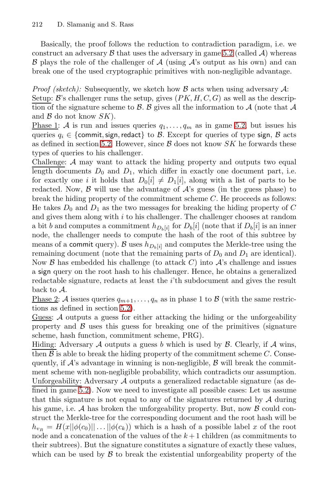Basically, the proof follows the reduction to contradiction paradigm, i.e. we construct an ad[versa](#page-7-0)ry  $\beta$  that uses the adversary in game 5.2 (called  $\mathcal{A}$ ) whereas B plays the role of the challenger of  $\mathcal A$  (using  $\mathcal A$ 's output as his own) and can b[reak](#page-6-1) one of the used cryptographic primitives with non-negligible advantage.

*Proof (sketch):* Subsequently, we sketch how  $\beta$  acts when using adversary  $\mathcal{A}$ : Setup:  $\mathcal{B}$ 's challenger runs the setup, gives  $(PK, H, C, G)$  as well as the description of the signature scheme to  $\beta$ .  $\beta$  gives all the information to  $\mathcal A$  (note that  $\mathcal A$ and  $\beta$  do not know  $SK$ ).

Phase 1: A is run and issues queries  $q_1, \ldots, q_m$  as in game 5.2, but issues his queries  $q_i \in \{\text{commit}, \text{sign}, \text{redact}\}\$  to B. Except for queries of type sign, B acts as defined in section 5.2. However, since  $\beta$  does not know SK he forwards these types of queries to his challenger.

Challenge: A may want to attack the hiding property and outputs two equal length documents  $D_0$  and  $D_1$ , which differ in exactly one document part, i.e. for exactly one i it holds that  $D_0[i] \neq D_1[i]$ , along with a list of parts to be redacted. Now,  $\beta$  will use the advantage of  $\mathcal{A}$ 's guess (in the guess phase) to break the hiding property of the commitment scheme  $C$ . He proceeds as follows: He takes  $D_0$  and  $D_1$  as the two messages for breaking the hiding property of C and gives them along with  $i$  to his challenger. The challenger chooses at random a bit b and computes a commitment  $h_{D<sub>b</sub>[i]}$  for  $D<sub>b</sub>[i]$  (note that if  $D<sub>b</sub>[i]$  is an inner node, t[he c](#page-7-0)hallenger needs to compute the hash of the root of this subtree by means of a commit query). B uses  $h_{D_b[i]}$  and computes the Merkle-tree using the remaining document (note that the remaining parts of  $D_0$  and  $D_1$  are identical). Now  $\beta$  has embedded his challenge (to attack C) into  $\mathcal{A}$ 's challenge and issues a sign query on the root hash to his challenger. Hence, he obtains a generalized redactable signature, redacts at least the i'th subdocument and gives the result back to A.

Phase 2: A issues queries  $q_{m+1}, \ldots, q_n$  as in phase 1 to B (with the same restrictions as defined in section 5.2).

Guess: A outputs a guess for either attacking the hiding or the unforgeability property and  $\beta$  uses this guess for breaking one of the primitives (signature scheme, hash function, commitment scheme, PRG).

Hiding: Adversary A outputs a guess b which is used by  $\beta$ . Clearly, if A wins, then  $\mathcal B$  is able to break the hiding property of the commitment scheme C. Consequently, if  $\mathcal{A}$ 's advantage in winning is non-negligible,  $\beta$  will break the commitment scheme with non-negligible probability, which contradicts our assumption. Unforgeability: Adversary A outputs a generalized redactable signature (as defined in game 5.2). Now we need to investigate all possible cases: Let us assume that this signature is not equal to any of the signatures returned by  $A$  during his game, i.e.  $A$  has broken the unforgeability property. But, now  $B$  could construct the Merkle-tree for the corresponding document and the root hash will be  $h_{v_R} = H(x||\phi(c_0)|| \dots ||\phi(c_k))$  which is a hash of a possible label x of the root node and a concatenation of the values of the  $k+1$  children (as commitments to their subtrees). But the signature constitutes a signature of exactly these values, which can be used by  $\beta$  to break the existential unforgeability property of the